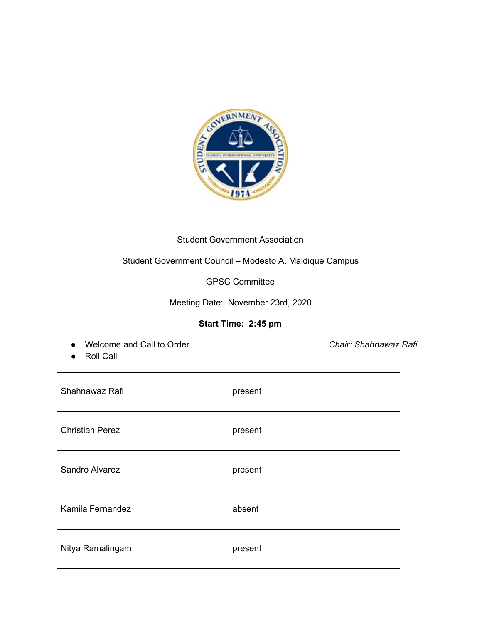

## Student Government Association

# Student Government Council – Modesto A. Maidique Campus

GPSC Committee

Meeting Date: November 23rd, 2020

## **Start Time: 2:45 pm**

● Welcome and Call to Order *Chair: Shahnawaz Rafi*

● Roll Call

| Shahnawaz Rafi         | present |
|------------------------|---------|
| <b>Christian Perez</b> | present |
| Sandro Alvarez         | present |
| Kamila Fernandez       | absent  |
| Nitya Ramalingam       | present |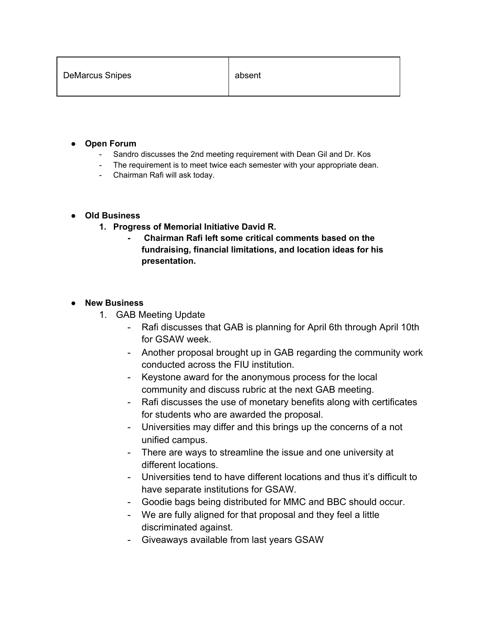| <b>DeMarcus Snipes</b> | absent |
|------------------------|--------|
|                        |        |

- **● Open Forum**
	- Sandro discusses the 2nd meeting requirement with Dean Gil and Dr. Kos
	- The requirement is to meet twice each semester with your appropriate dean.
	- Chairman Rafi will ask today.

### **● Old Business**

- **1. Progress of Memorial Initiative David R.**
	- **- Chairman Rafi left some critical comments based on the fundraising, financial limitations, and location ideas for his presentation.**

### **● New Business**

- 1. GAB Meeting Update
	- Rafi discusses that GAB is planning for April 6th through April 10th for GSAW week.
	- Another proposal brought up in GAB regarding the community work conducted across the FIU institution.
	- Keystone award for the anonymous process for the local community and discuss rubric at the next GAB meeting.
	- Rafi discusses the use of monetary benefits along with certificates for students who are awarded the proposal.
	- Universities may differ and this brings up the concerns of a not unified campus.
	- There are ways to streamline the issue and one university at different locations.
	- Universities tend to have different locations and thus it's difficult to have separate institutions for GSAW.
	- Goodie bags being distributed for MMC and BBC should occur.
	- We are fully aligned for that proposal and they feel a little discriminated against.
	- Giveaways available from last years GSAW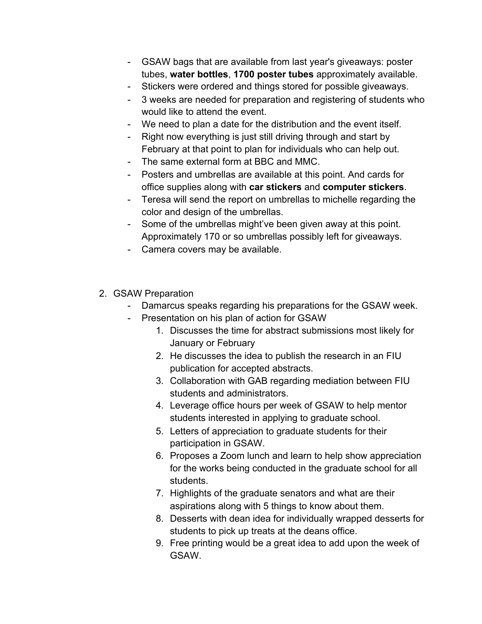- GSAW bags that are available from last year's giveaways: poster tubes, **water bottles**, **1700 poster tubes** approximately available.
- Stickers were ordered and things stored for possible giveaways.
- 3 weeks are needed for preparation and registering of students who would like to attend the event.
- We need to plan a date for the distribution and the event itself.
- Right now everything is just still driving through and start by February at that point to plan for individuals who can help out.
- The same external form at BBC and MMC.
- Posters and umbrellas are available at this point. And cards for office supplies along with **car stickers** and **computer stickers**.
- Teresa will send the report on umbrellas to michelle regarding the color and design of the umbrellas.
- Some of the umbrellas might've been given away at this point. Approximately 170 or so umbrellas possibly left for giveaways.
- Camera covers may be available.
- 2. GSAW Preparation
	- Damarcus speaks regarding his preparations for the GSAW week.
	- Presentation on his plan of action for GSAW
		- 1. Discusses the time for abstract submissions most likely for January or February
		- 2. He discusses the idea to publish the research in an FIU publication for accepted abstracts.
		- 3. Collaboration with GAB regarding mediation between FIU students and administrators.
		- 4. Leverage office hours per week of GSAW to help mentor students interested in applying to graduate school.
		- 5. Letters of appreciation to graduate students for their participation in GSAW.
		- 6. Proposes a Zoom lunch and learn to help show appreciation for the works being conducted in the graduate school for all students.
		- 7. Highlights of the graduate senators and what are their aspirations along with 5 things to know about them.
		- 8. Desserts with dean idea for individually wrapped desserts for students to pick up treats at the deans office.
		- 9. Free printing would be a great idea to add upon the week of GSAW.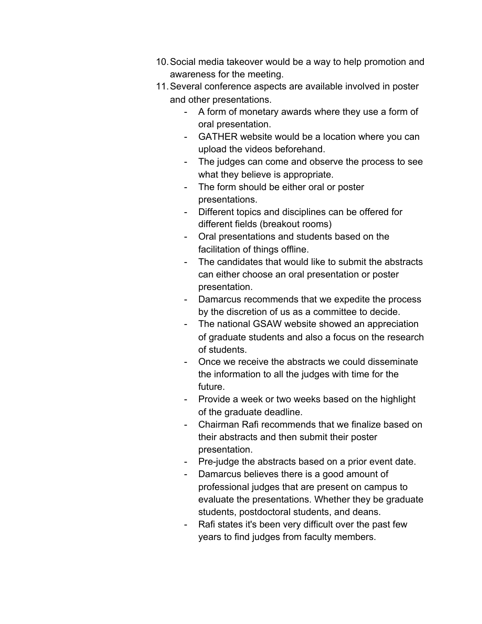- 10.Social media takeover would be a way to help promotion and awareness for the meeting.
- 11.Several conference aspects are available involved in poster and other presentations.
	- A form of monetary awards where they use a form of oral presentation.
	- GATHER website would be a location where you can upload the videos beforehand.
	- The judges can come and observe the process to see what they believe is appropriate.
	- The form should be either oral or poster presentations.
	- Different topics and disciplines can be offered for different fields (breakout rooms)
	- Oral presentations and students based on the facilitation of things offline.
	- The candidates that would like to submit the abstracts can either choose an oral presentation or poster presentation.
	- Damarcus recommends that we expedite the process by the discretion of us as a committee to decide.
	- The national GSAW website showed an appreciation of graduate students and also a focus on the research of students.
	- Once we receive the abstracts we could disseminate the information to all the judges with time for the future.
	- Provide a week or two weeks based on the highlight of the graduate deadline.
	- Chairman Rafi recommends that we finalize based on their abstracts and then submit their poster presentation.
	- Pre-judge the abstracts based on a prior event date.
	- Damarcus believes there is a good amount of professional judges that are present on campus to evaluate the presentations. Whether they be graduate students, postdoctoral students, and deans.
	- Rafi states it's been very difficult over the past few years to find judges from faculty members.